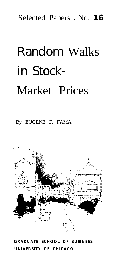Selected Papers . No. 16

# Random Walks in Stock-Market Prices

By EUGENE F. FAMA



*GRADUATE SCHOOL OF BUSINESS UNIVERSITY OF CHICAGO*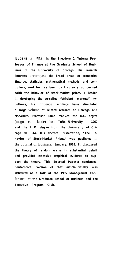**EUGENE** F. **FAMA** *is the Theodore 0. Yntema Pro***fessor of** *Finance at the Graduate School of Business* **of** *the University* **of** *Chicago. His research interests* encompass *the broad areas* **of** *economics,* **finance,** *statistics, mathematical methods, and computers, and he has been particularly concerned zoith the behavior of stock-market prices. A leader* in *developing the so-called "efficient markets" hypothesis, his* influential *writings have stimulated a large* volume *of related research at Chicago and elsewhere. Professor Fama received the B.A. degree* (magna cum laude) from *Tufts University* in *1960* and the Ph.D. degree from the University of Chi*cago* in *1964. His doctoral dissertation, "The Behavior* **of** *Stock-Market Prices," was published* in *the* Journal of Business, *January, 1965. It* discussed *the theory* **of** *random walks in substantial detail and provided extensive empirical evidence to support the theory. This Selected Paper-a condensed, nontechnical version* **of** *that article-initially was delivered as a talk at the 1965 Management Con*ference **of** *the Graduate School* **of** *Business and the Executive Program Club.*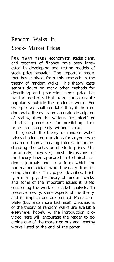## Random Walks in

## Stock- Market Prices

**FOR MANY YEARS** economists, statisticians, and teachers of finance have been interested in developing and testing models of stock price behavior. One important model that has evolved from this research is the theory of random walks. This theory casts serious doubt on many other methods for describing and predicting stock price behavior-methods that have considerable popularity outside the academic world. For example, we shall see later that, if the random-walk theory is an accurate description of reality, then the various "technical" or "chartist" procedures for predicting stock prices are completely without value.

In general, the theory of random walks raises challenging questions for anyone who has more than a passing interest in understanding the behavior of stock prices. Unfortunately, however, most discussions of the theory have appeared in technical academic journals and in a form which the non-mathematician would usually find incomprehensible. This paper describes, briefly and simply, the theory of random walks and some of the important issues it raises concerning the work of market analysts. To preserve brevity, some aspects of the theory and its implications are omitted. More complete (but also more technical) discussions of the theory of random walks are available elsewhere; hopefully, the introduction provided here will encourage the reader to examine one of the more rigorous and lengthy works listed at the end of the paper.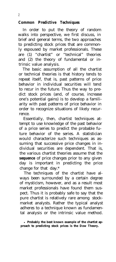#### *Common Predictive Techniques*

In order to put the theory of random walks into perspective, we first discuss, in brief and general terms, the two approaches to predicting stock prices that are commonly espoused by market professionals. These are (1) "chartist" or "technical" theories and (2) the theory of fundamental or intrinsic value analysis.

The basic assumption of all the chartist or technical theories is that history tends to repeat itself, that is, past patterns of price behavior in individual securities will tend to recur in the future. Thus the way to predict stock prices (and, of course, increase one's potential gains) is to develop a familiarity with past patterns of price behavior in order to recognize situations of likely recurrence.

Essentially, then, chartist techniques attempt to use knowledge of the past behavior of a price series to predict the probable future behavior of the series. A statistician would characterize such techniques as assuming that successive price changes in individual securities are dependent. That is, the various chartist theories assume that the *sequence* of price changes prior to any given day is important in predicting the price change for that day.\*

The techniques of the chartist have always been surrounded by a certain degree of mysticism, however, and as a result most market professionals have found them suspect. Thus it is probably safe to say that the pure chartist is relatively rare among stockmarket analysts. Rather the typical analyst adheres to a technique known as fundamental analysis or the intrinsic value method.

**• Probably the best known example of the chartist approach to predicting stock prices is the Dow Theory.**

2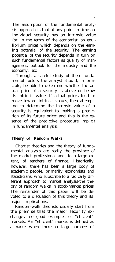The assumption of the fundamental analysis approach is that at any point in time an individual security has an intrinsic value (or, in the terms of the economist, an equilibrium price) which depends on the earning potential of the security. The earning potential of the security depends in turn on such fundamental factors as quality of management, outlook for the industry and the economy, etc.

Through a careful study of these fundamental factors the analyst should, in principle, be able to determine whether the actual price of a security is above or below its intrinsic value. If actual prices tend to move toward intrinsic values, then attempting to determine the intrinsic value of a security is equivalent to making a prediction of its future price; and this is the essence of the predictive procedure implicit in fundamental analysis.

### *Theory* **of** *Random Walks*

Chartist theories and the theory of fundamental analysis are really the province of the market professional and, to a large extent, of teachers of finance. Historically, however, there has been a large body of academic people, primarily economists and statisticians, who subscribe to a radically different approach to market analysis-the theory of random walks in stock-market prices. The remainder of this paper will be devoted to a discussion of this theory and its major implications.

Random-walk theorists usually start from the premise that the major security exchanges are good examples of "efficient" markets. An "efficient" market is defined as a market where there are large numbers of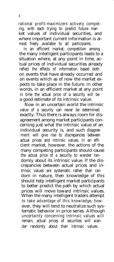rational profit-maximizers actively competing, with each trying to predict future market values of individual securities, and where important current information is almost freely available to all participants.

In an efficient market, competition among the many intelligent participants leads to a situation where, at any point in time, actual prices of individual securities already reflect the effects of information based both on events that have already occurred and on events which as of now the market expects to take place in the future. In other words, in an efficient market at any point in time the actual price of a security will be a good estimate of its intrinsic value.

Now in an uncertain world the intrinsic value of a security can never be determined exactly. Thus there is always room for disagreement among market participants concerning just what the intrinsic value of an individual security is, and such disagreement will give rise to discrepancies between actual prices and intrinsic values. In an efficient market, however, the actions of the many competing participants should cause the actual price of a security to wander randomly about its intrinsic value. If the discrepancies between actual prices and intrinsic values are systematic rather than random in nature, then knowledge of this should help intelligent market participants to better predict the path by which actual prices will move toward intrinsic values. When the many intelligent traders attempt to take advantage of this knowledge, however, they will tend to neutralize such systematic behavior in price series. Although uncertainty concerning intrinsic values will remain, actual prices of securities will wander randomly about their intrinsic values.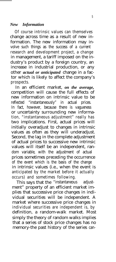#### *New Information*

Of course intrinsic values can themselves change across time as a result of new information. The new information may involve such things as the success of a current research and development project, a change in management, a tariff imposed on the industry's product by a foreign country, an increase in industrial production, or any other *actual or anticipated* change in a factor which is likely to affect the company's prospects.

In an efficient market, *on the average,* competition will cause the full effects of new information on intrinsic value to be reflected "instantaneously" in actual prices. In fact, however, because there is vagueness or uncertainty surrounding new information, "instantaneous adjustment" really has two implications. First, actual prices will initially overadjust to changes in intrinsic values as often as they will underadjust. Second, the lag in the complete adjustment of actual prices to successive new intrinsic values will itself be an independent, random variable, with the adjustment of actual prices sometimes preceding the occurrence of the event which is the basis of the change in intrinsic values (i.e., when the event is anticipated by the market before it actually occurs) and sometimes following.

This says that the "instantaneous adjustment" property of an efficient market implies that successive price changes in individual securities will be independent. A market where successive price changes in individual securities are independent is, by definition, a random-walk market. Most simply the theory of random walks implies that a series of stock price changes has no memory-the past history of the series can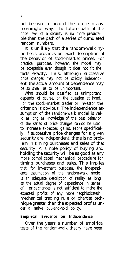not be used to predict the future in any meaningful way. The future path of the price level of a security is no more predictable than the path of a series of cumulated random numbers.

It is unlikely that the random-walk hypothesis provides an exact description of the behavior of stock-market prices. For practical purposes, however, the model may be acceptable even though it does not fit the facts exactly. Thus, although successive price changes may not be strictly independent, the actual amount of dependence may be so small as to be unimportant.

What should be classified as unimportant depends, of course, on the question at hand. For the stock-market trader or investor the criterion is obvious: The independence assumption of the random-walk model is valid as long as knowledge of the past behavior of the series of price changes cannot be used to increase expected gains. More specifically, if successive price changes for a given security are independent, there is no problem in timing purchases and sales of that security. A simple policy of buying and holding the security will be as good as any more complicated mechanical procedure for timing purchases and sales. This implies that, for investment purposes, the independence assumption of the random-walk model is an adequate description of reality as long as the actual degree of dependence in series of price changes is not sufficient to make the expected profits of any more "sophisticated" mechanical trading rule or chartist technique greater than the expected profits under a naive buy-and-hold policy.

### *Empirical Evidence on Independence*

Over the years a number of empirical tests of the random-walk theory have been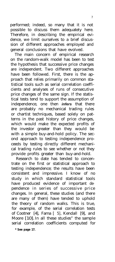performed; indeed, so many that it is not possible to discuss them adequately here. Therefore, in describing the empirical evidence, we limit ourselves to a brief discussion of different approaches employed and general conclusions that have evolved.

The main concern of empirical research on the random-walk model has been to test the hypothesis that successive price changes are independent. Two different approaches have been followed. First, there is the approach that relies primarily on common statistical tools such as serial correlation coefficients and analyses of runs of consecutive price changes of the same sign. If the statistical tests tend to support the assumption of independence, one then *infers* that there are probably no mechanical trading rules or chartist techniques, based solely on patterns in the past history of price changes, which would make the expected profits of the investor greater than they would be with a simple buy-and-hold policy. The second approach to testing independence proceeds by testing directly different mechanical trading rules to see whether or not they provide profits greater than buy-and-hold.

Research to date has tended to concentrate on the first or statistical approach to testing independence; the results have been consistent and impressive. I know of no study in which standard statistical tools have produced evidence of important dependence in series of successive price changes. In general, these studies (and there are many of them) have tended to uphold the theory of random walks. This is true, for example, of the serial correlation tests of Cootner [4], Fama [ 5], Kendall [9], and Moore [10]. In all these studies" the sample serial correlation coefficients computed for

**\* See page 17.**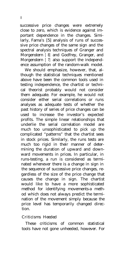successive price changes were extremely close to zero, which is evidence against important dependence in the changes. Similarly, Fama's [5] analysis of runs of successive price changes of the same sign and the spectral analysis techniques of Granger and Morgenstern [ 8] and Godfrey, Granger, and Morgenstern [7] also support the independence assumption of the random-walk model.

We should emphasize, however, that, although the statistical techniques mentioned above have been the common tools used in testing independence, the chartist or technical theorist probably would not consider them adequate. For example, he would not consider either serial correlations or runs analyses as adequate tests of whether the past history of series of price changes can be used to increase the investor's expected profits. The simple linear relationships that underlie the serial correlation model are much too unsophisticated to pick up the complicated "patterns" that the chartist sees in stock prices. Similarly, the runs tests are much too rigid in their manner of determining the duration of upward and downward movements in prices. In particular, in runs-testing, a run is considered as terminated whenever there is a change in sign in the sequence of successive price changes, regardless of the size of the price change that causes the change in sign. The chartist would like to have a more sophisticated method for identifying movements-a method which does not always predict the termination of the movement simply because the price level has temporarily changed direction.

#### *Criticisms Heeded*

These criticisms of common statistical tools have not gone unheeded, however. For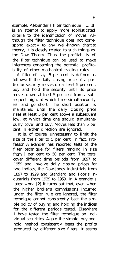example, Alexander's filter technique [1, 2] is an attempt to apply more sophisticated criteria to the identification of moves. Although the filter technique does not correspond exactly to any well-known chartist theory, it is closely related to such things as the Dow Theory. Thus, the profitability of the filter technique can be used to make inferences concerning the potential profitability of other mechanical trading rules.

A filter of, say, 5 per cent is defined as follows: If the daily closing price of a particular security moves up at least 5 per cent, buy and hold the security until its price moves down at least 5 per cent from a subsequent high, at which time simultaneously sell and go short. The short position is maintained until the daily closing price rises at least 5 per cent above a subsequent low, at which time one should simultaneously cover and buy. Moves less than 5 per cent in either direction are ignored.

It is, of course, unnecessary to limit the size of the filter to 5 per cent. In fact, Professor Alexander has reported tests of the filter technique for filters ranging in size from 1 per cent to 50 per cent. The tests cover different time periods from 1897 to 1959 and involve daily closing prices for two indices, the Dow-Jones Industrials from 1897 to 1929 and Standard and Poor's Industrials from 1929 to 1959. In Alexander's latest work [2] it turns out that, even when the higher broker's commissions incurred under the filter rule are ignored, the filter technique cannot consistently beat the simple policy of buying and holding the indices for the different periods tested. Elsewhere I have tested the filter technique on individual securities. Again the simple buy-andhold method consistently beats the profits produced by different size filters. It seems,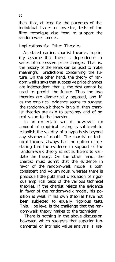then, that, at least for the purposes of the individual trader or investor, tests of the filter technique also tend to support the random-walk model.

### *Implications* for *Other Theories*

As stated earlier, chartist theories implicitly assume that there is dependence in series of successive price changes. That is, the history of the series can be used to make meaningful predictions concerning the future. On the other hand, the theory of random walks says that successive price changes are independent, that is, the past cannot be used to predict the future. Thus the two theories are diametrically opposed, and if, as the empirical evidence seems to suggest, the random-walk theory is valid, then chartist theories are akin to astrology and of no real value to the investor.

In an uncertain world, however, no amount of empirical testing is sufficient to establish the validity of a hypothesis beyond any shadow of doubt. The chartist or technical theorist always has the option of declaring that the evidence in support of the random-walk theory is not sufficient to validate the theory. On the other hand, the chartist must admit that the evidence in favor of the random-walk model is both consistent and voluminous, whereas there is precious little published discussion of rigorous empirical tests of the various technical theories. If the chartist rejects the evidence in favor of the random-walk model, his position is weak if his own theories have not been subjected to equally rigorous tests. This, I believe, is the challenge that the random-walk theory makes to the technician..

There is nothing in the above discussion, however, which suggests that superior fundamental or intrinsic value analysis is use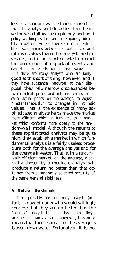less in a random-walk-efficient market. In fact, the analyst will do better than the investor who follows a simple buy-and-hold policy as long as he can more quickly identify situations where there are non-negligible discrepancies between actual prices and intrinsic values than other analysts and investors, and if he is better able to predict the occurrence of important events and evaluate their effects on intrinsic values.

If there are many analysts who are fairly good at this sort of thing, however, and if they have substantial resources at their disposal, they help narrow discrepancies between actual prices and intrinsic values and cause actual prices, on the average, to adjust "instantaneously" to changes in intrinsic values. That is, the existence of many sophisticated analysts helps make the market more efficient, which in turn implies a market which conforms more closely to the random-walk model. Although the returns to these sophisticated analysts may be quite high, they establish a market in which fundamental analysis is a fairly useless procedure both for the average analyst and for the average investor. That is, in a randomwalk-efficient market, on the average, a security chosen by a mediocre analyst will produce a return no better than that obtained from a randomly selected security of the same general riskiness.

### *A Natural Benchmark*

There probably are not many analysts (in fact, I know of none) who would willingly concede that they are no better than the "average" analyst. If all analysts think they are better than average, however, this only means that their estimate of the average is biased downward. Fortunately, it is not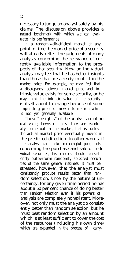necessary to judge an analyst solely by his claims. The discussion above provides a natural benchmark with which we can evaluate his performance.

In a random-walk-efficient market at any point in time the market price of a security will already reflect the judgments of many analysts concerning the relevance of currently available information to the prospects of that security. Now an individual analyst may feel that he has better insights than those that are already implicit in the market price. For example, he may feel that a discrepancy between market price and intrinsic value exists for some security, or he may think the intrinsic value of the security is itself about to change because of some impending piece of new information which is not yet generally available.

These "insights" of the analyst are of no real value, however, unless they are eventually borne out in the market, that is, unless the actual market price eventually moves in the predicted direction. In other words, if the analyst can make meaningful judgments concerning the purchase and sale of individual securities, his choices should consistently outperform randomly selected securities of the same general riskiness. It must be stressed, however, that the analyst must consistently produce results better than random selection, since, by the nature of uncertainty, for any given time period he has about a 50 per cent chance of doing better than random selection even if his powers of analysis are completely nonexistent. Moreover, not only must the analyst do consistently better than random selection, but he must beat random selection by an amount which is at least sufficient to cover the cost of the resources (including his own time) which are expended in the process of carry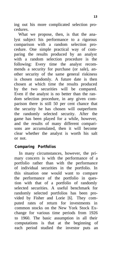ing out his more complicated selection procedures.

What we propose, then, is that the analyst subject his performance to a rigorous comparison with a random selection procedure. One simple practical way of comparing the results produced by an analyst with a random selection procedure is the following: Every time the analyst recommends a security for purchase (or sale), another security of the same general riskiness is chosen randomly. A future date is then chosen at which time the results produced by the two securities will be compared. Even if the analyst is no better than the random selection procedure, in any given comparison there is still 50 per cent chance that the security he has chosen will outperform the randomly selected security. After the game has been played for a while, however, and the results of many different comparisons are accumulated, then it will become clear whether the analyst is worth his salt or not.

### *Comparing Portfolios*

In many circumstances, however, the primary concern is with the performance of a portfolio rather than with the performance of individual securities in the portfolio. In this situation one would want to compare the performance of the portfolio in question with that of a portfolio of randomly selected securities. A useful benchmark for randomly selected portfolios has been provided by Fisher and Lorie [6]. They computed rates of return for investments in common stocks on the New York Stock Exchange for various time periods from 1926 to 1960. The basic assumption in all their computations is that at the beginning of each period studied the investor puts an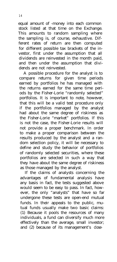equal amount of -money into each common stock listed at that time on the Exchange. This amounts to random sampling where the sampling is, of course, exhaustive. Different rates of return are then computed for different possible tax brackets of the investor, first under the assumption that all dividends are reinvested in the month paid, and then under the assumption that dividends are not reinvested.

A possible procedure for the analyst is to compare returns for given time periods earned by portfolios he has managed with the returns earned for the same time periods by the Fisher-Lorie "randomly selected" portfolios. It is important to note, however, that this will be a valid test procedure only if the portfolios managed by the analyst had about the same degree of riskiness as the Fisher-Lorie "market" portfolios. If this is not the case, the Fisher-Lorie results will not provide a proper benchmark. In order to make a proper comparison between the results produced by the analyst and a random selection policy, it will be necessary to define and study the behavior of portfolios of randomly selected securities, where these portfolios are selected in such a way that they have about the same degree of riskiness as those managed by the analyst.

If the claims of analysts concerning the advantages of fundamental analysis have any basis in fact, the tests suggested above would seem to be easy to pass. In fact, however, the only "analysts" that have so far undergone these tests are open-end mutual funds. In their appeals to the public, mutual funds usually make two basic claims: (1) Because it pools the resources of many individuals, a fund can diversify much more effectively than the average, small investor; and (2) because of its management's close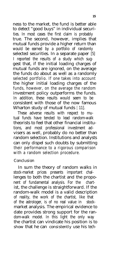ness to the market, the fund is better able to detect "good buys" in individual securities. In most cases the first claim is probably true. The second, however, implies that mutual funds provide a higher return than would be earned by a portfolio of randomly selected securities. In a separate paper [5] I reported the results of a study which suggest that, if the initial loading charges of mutual funds are ignored, on the average the funds do about as well as a randomly selected portfolio. If one takes into account the higher initial loading charges of the funds, however, on the average the random investment policy outperforms the funds. In addition, these results would seem to be consistent with those of the now famous Wharton study of mutual funds [11].

These adverse results with respect to mutual funds have tended to lead random-walk theorists to feel that other financial institutions, and most professional investment advisers as well, probably do no better than random selection. Institutions and analysts can only dispel such doubts by submitting their performance to a rigorous comparison with a random selection procedure.

#### *Conclusion*

In sum the theory of random walks in stock-market prices presents important challenges to both the chartist and the proponent of fundamental analysis. For the chartist, the challenge is straightforward. If the random-walk model is a valid description of reality, the work of the chartist, like that of the astrologer, is of no real value in stockmarket analysis. The empirical evidence to date provides strong support for the random-walk model. In this light the only way the chartist can vindicate his position is to *show* that he can *consistently* use his tech-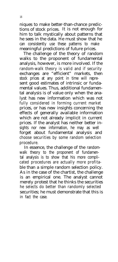niques to make better-than-chance predictions of stock prices. It is not enough for him to talk mystically about patterns that he sees in the data. He must show that he can consistently use these patterns to make meaningful predictions of future prices.

The challenge of the theory of random walks to the proponent of fundamental analysis, however, is more involved. If the random-walk theory is valid and if security exchanges are "efficient" markets, then stock prices at any point in time will represent good estimates of intrinsic or fundamental values. Thus, additional fundamental analysis is of value only when the analyst has new information which was not fully considered in forming current market prices, or has new insights concerning the effects of generally available information which are not already implicit in current prices. If the analyst has neither better insights nor new information, he may as well forget about fundamental analysis and choose securities by some random selection procedure.

In essence, the challenge of the randomwalk theory to the proponent of fundamental analysis is to show that his more complicated procedures are actually more profitable than a simple random selection policy. As in the case of the chartist, the challenge is an empirical one. The analyst cannot merely protest that he thinks the securities he selects do better than randomly selected securities; he must demonstrate that this is in fact the case.